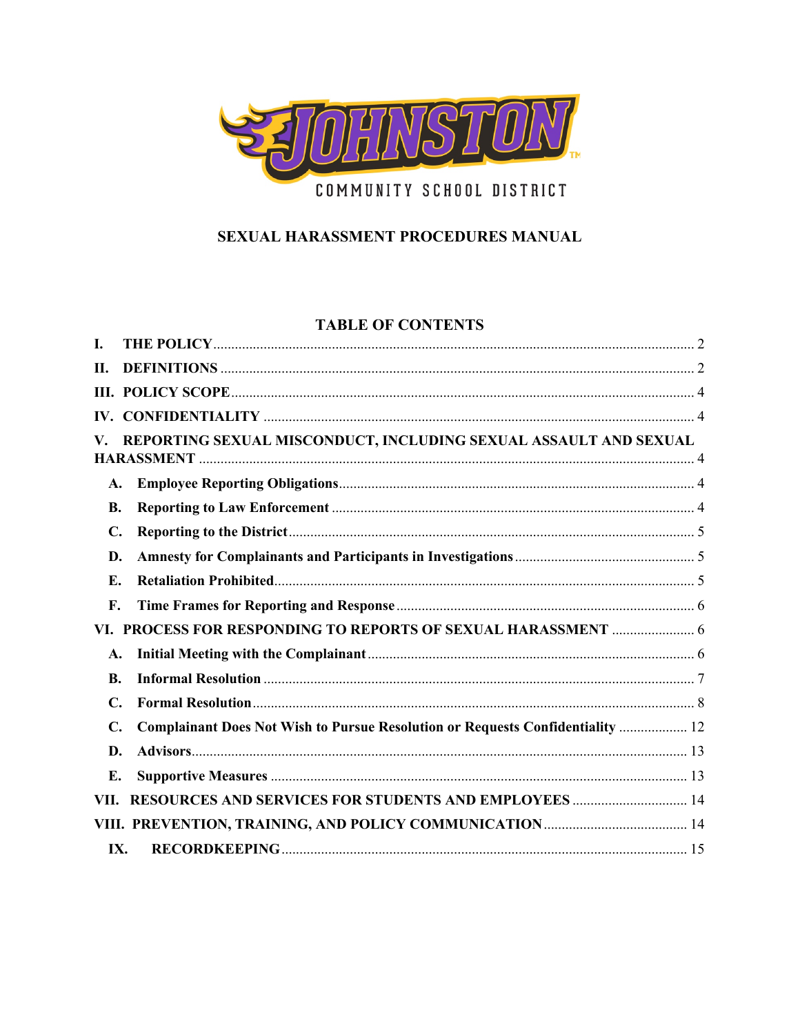

# SEXUAL HARASSMENT PROCEDURES MANUAL

# **TABLE OF CONTENTS**

| I.             |                                                                                |  |  |  |
|----------------|--------------------------------------------------------------------------------|--|--|--|
| П.             |                                                                                |  |  |  |
|                |                                                                                |  |  |  |
|                |                                                                                |  |  |  |
| V.             | REPORTING SEXUAL MISCONDUCT, INCLUDING SEXUAL ASSAULT AND SEXUAL               |  |  |  |
|                |                                                                                |  |  |  |
| $\mathbf{A}$ . |                                                                                |  |  |  |
| <b>B.</b>      |                                                                                |  |  |  |
| C.             |                                                                                |  |  |  |
| D.             |                                                                                |  |  |  |
| Е.             |                                                                                |  |  |  |
| F.             |                                                                                |  |  |  |
| VI.            |                                                                                |  |  |  |
| $\mathbf{A}$ . |                                                                                |  |  |  |
| <b>B.</b>      |                                                                                |  |  |  |
| C.             |                                                                                |  |  |  |
| C.             | Complainant Does Not Wish to Pursue Resolution or Requests Confidentiality  12 |  |  |  |
| D.             |                                                                                |  |  |  |
| Е.             |                                                                                |  |  |  |
| VII.           | RESOURCES AND SERVICES FOR STUDENTS AND EMPLOYEES  14                          |  |  |  |
|                |                                                                                |  |  |  |
|                | IX.                                                                            |  |  |  |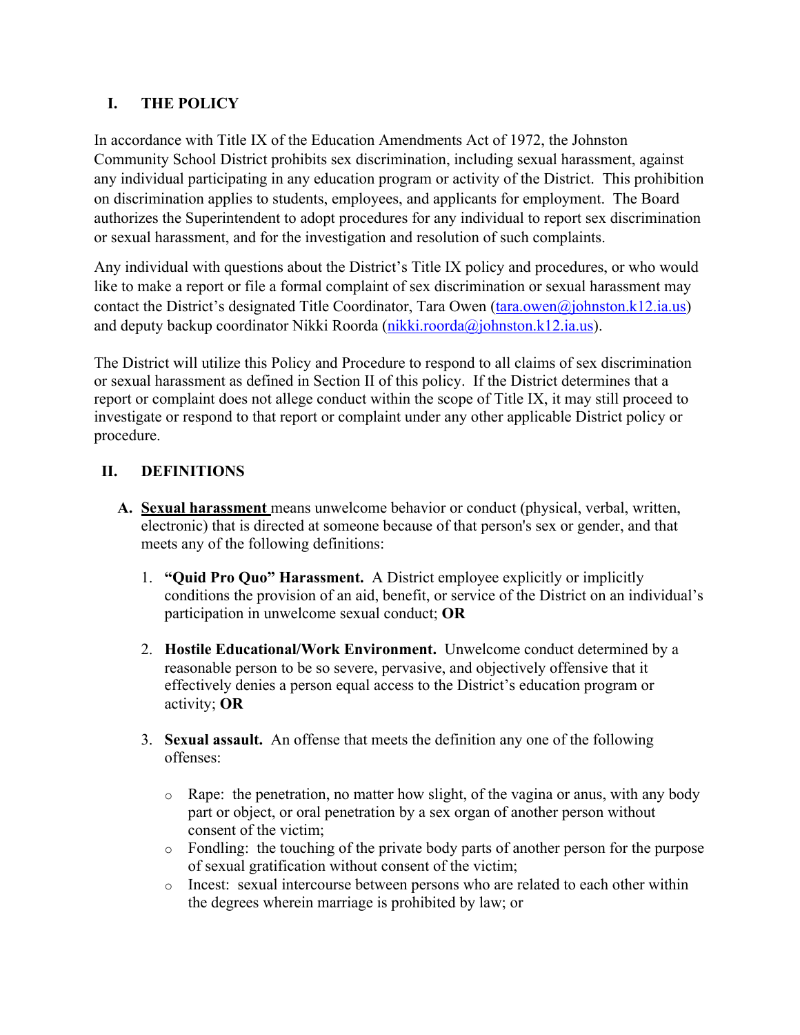# **I. THE POLICY**

In accordance with Title IX of the Education Amendments Act of 1972, the Johnston Community School District prohibits sex discrimination, including sexual harassment, against any individual participating in any education program or activity of the District. This prohibition on discrimination applies to students, employees, and applicants for employment. The Board authorizes the Superintendent to adopt procedures for any individual to report sex discrimination or sexual harassment, and for the investigation and resolution of such complaints.

Any individual with questions about the District's Title IX policy and procedures, or who would like to make a report or file a formal complaint of sex discrimination or sexual harassment may contact the District's designated Title Coordinator, Tara Owen ( $\frac{\tan \alpha}{\sin \alpha}$ ) ( $\frac{\tan \alpha}{\tan \alpha}$ ) and deputy backup coordinator Nikki Roorda (nikki.roorda@johnston.k12.ia.us).

The District will utilize this Policy and Procedure to respond to all claims of sex discrimination or sexual harassment as defined in Section II of this policy. If the District determines that a report or complaint does not allege conduct within the scope of Title IX, it may still proceed to investigate or respond to that report or complaint under any other applicable District policy or procedure.

# **II. DEFINITIONS**

- **A. Sexual harassment** means unwelcome behavior or conduct (physical, verbal, written, electronic) that is directed at someone because of that person's sex or gender, and that meets any of the following definitions:
	- 1. **"Quid Pro Quo" Harassment.** A District employee explicitly or implicitly conditions the provision of an aid, benefit, or service of the District on an individual's participation in unwelcome sexual conduct; **OR**
	- 2. **Hostile Educational/Work Environment.** Unwelcome conduct determined by a reasonable person to be so severe, pervasive, and objectively offensive that it effectively denies a person equal access to the District's education program or activity; **OR**
	- 3. **Sexual assault.** An offense that meets the definition any one of the following offenses:
		- o Rape: the penetration, no matter how slight, of the vagina or anus, with any body part or object, or oral penetration by a sex organ of another person without consent of the victim;
		- o Fondling: the touching of the private body parts of another person for the purpose of sexual gratification without consent of the victim;
		- o Incest: sexual intercourse between persons who are related to each other within the degrees wherein marriage is prohibited by law; or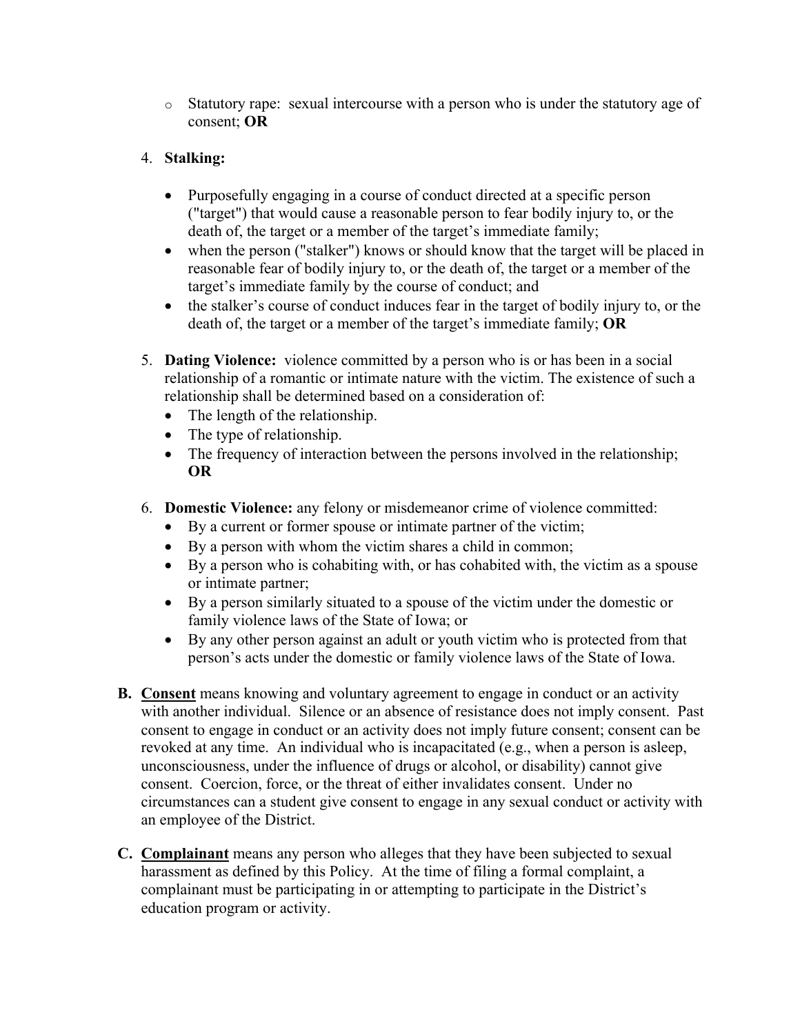o Statutory rape: sexual intercourse with a person who is under the statutory age of consent; **OR**

#### 4. **Stalking:**

- Purposefully engaging in a course of conduct directed at a specific person ("target") that would cause a reasonable person to fear bodily injury to, or the death of, the target or a member of the target's immediate family;
- when the person ("stalker") knows or should know that the target will be placed in reasonable fear of bodily injury to, or the death of, the target or a member of the target's immediate family by the course of conduct; and
- the stalker's course of conduct induces fear in the target of bodily injury to, or the death of, the target or a member of the target's immediate family; **OR**
- 5. **Dating Violence:** violence committed by a person who is or has been in a social relationship of a romantic or intimate nature with the victim. The existence of such a relationship shall be determined based on a consideration of:
	- The length of the relationship.
	- The type of relationship.
	- The frequency of interaction between the persons involved in the relationship; **OR**
- 6. **Domestic Violence:** any felony or misdemeanor crime of violence committed:
	- By a current or former spouse or intimate partner of the victim;
	- By a person with whom the victim shares a child in common;
	- By a person who is cohabiting with, or has cohabited with, the victim as a spouse or intimate partner;
	- By a person similarly situated to a spouse of the victim under the domestic or family violence laws of the State of Iowa; or
	- By any other person against an adult or youth victim who is protected from that person's acts under the domestic or family violence laws of the State of Iowa.
- **B. Consent** means knowing and voluntary agreement to engage in conduct or an activity with another individual. Silence or an absence of resistance does not imply consent. Past consent to engage in conduct or an activity does not imply future consent; consent can be revoked at any time. An individual who is incapacitated (e.g., when a person is asleep, unconsciousness, under the influence of drugs or alcohol, or disability) cannot give consent. Coercion, force, or the threat of either invalidates consent. Under no circumstances can a student give consent to engage in any sexual conduct or activity with an employee of the District.
- **C. Complainant** means any person who alleges that they have been subjected to sexual harassment as defined by this Policy. At the time of filing a formal complaint, a complainant must be participating in or attempting to participate in the District's education program or activity.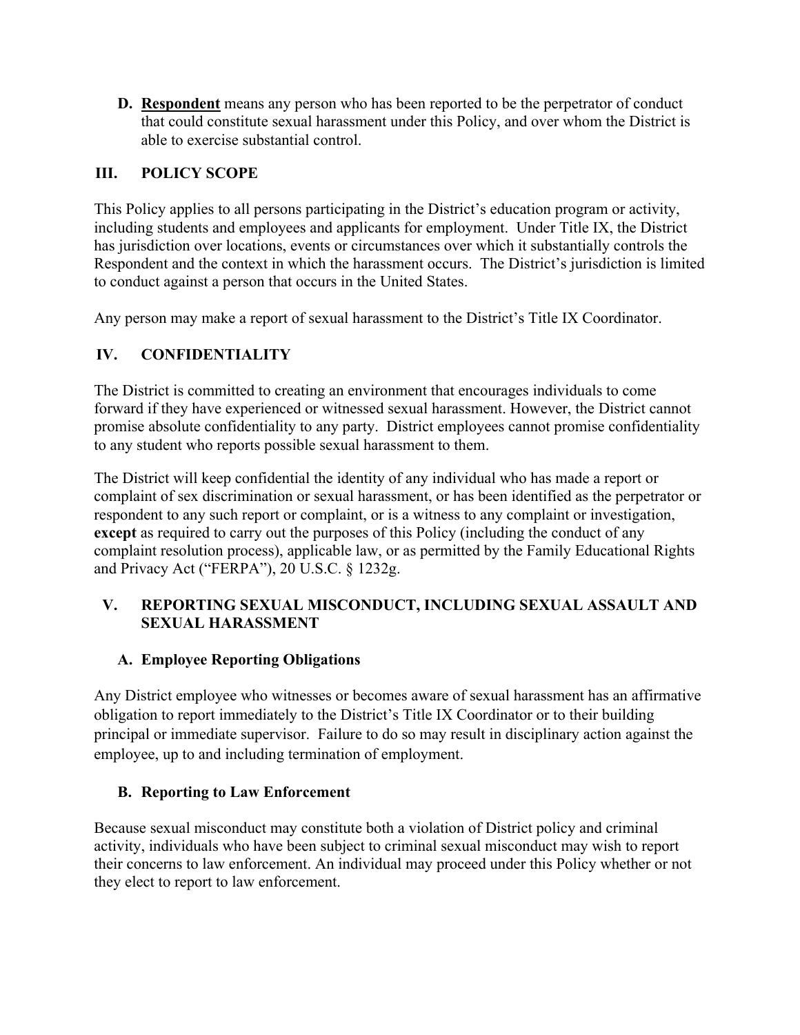**D. Respondent** means any person who has been reported to be the perpetrator of conduct that could constitute sexual harassment under this Policy, and over whom the District is able to exercise substantial control.

## **III. POLICY SCOPE**

This Policy applies to all persons participating in the District's education program or activity, including students and employees and applicants for employment. Under Title IX, the District has jurisdiction over locations, events or circumstances over which it substantially controls the Respondent and the context in which the harassment occurs. The District's jurisdiction is limited to conduct against a person that occurs in the United States.

Any person may make a report of sexual harassment to the District's Title IX Coordinator.

# **IV. CONFIDENTIALITY**

The District is committed to creating an environment that encourages individuals to come forward if they have experienced or witnessed sexual harassment. However, the District cannot promise absolute confidentiality to any party. District employees cannot promise confidentiality to any student who reports possible sexual harassment to them.

The District will keep confidential the identity of any individual who has made a report or complaint of sex discrimination or sexual harassment, or has been identified as the perpetrator or respondent to any such report or complaint, or is a witness to any complaint or investigation, **except** as required to carry out the purposes of this Policy (including the conduct of any complaint resolution process), applicable law, or as permitted by the Family Educational Rights and Privacy Act ("FERPA"), 20 U.S.C. § 1232g.

## **V. REPORTING SEXUAL MISCONDUCT, INCLUDING SEXUAL ASSAULT AND SEXUAL HARASSMENT**

#### **A. Employee Reporting Obligations**

Any District employee who witnesses or becomes aware of sexual harassment has an affirmative obligation to report immediately to the District's Title IX Coordinator or to their building principal or immediate supervisor. Failure to do so may result in disciplinary action against the employee, up to and including termination of employment.

#### **B. Reporting to Law Enforcement**

Because sexual misconduct may constitute both a violation of District policy and criminal activity, individuals who have been subject to criminal sexual misconduct may wish to report their concerns to law enforcement. An individual may proceed under this Policy whether or not they elect to report to law enforcement.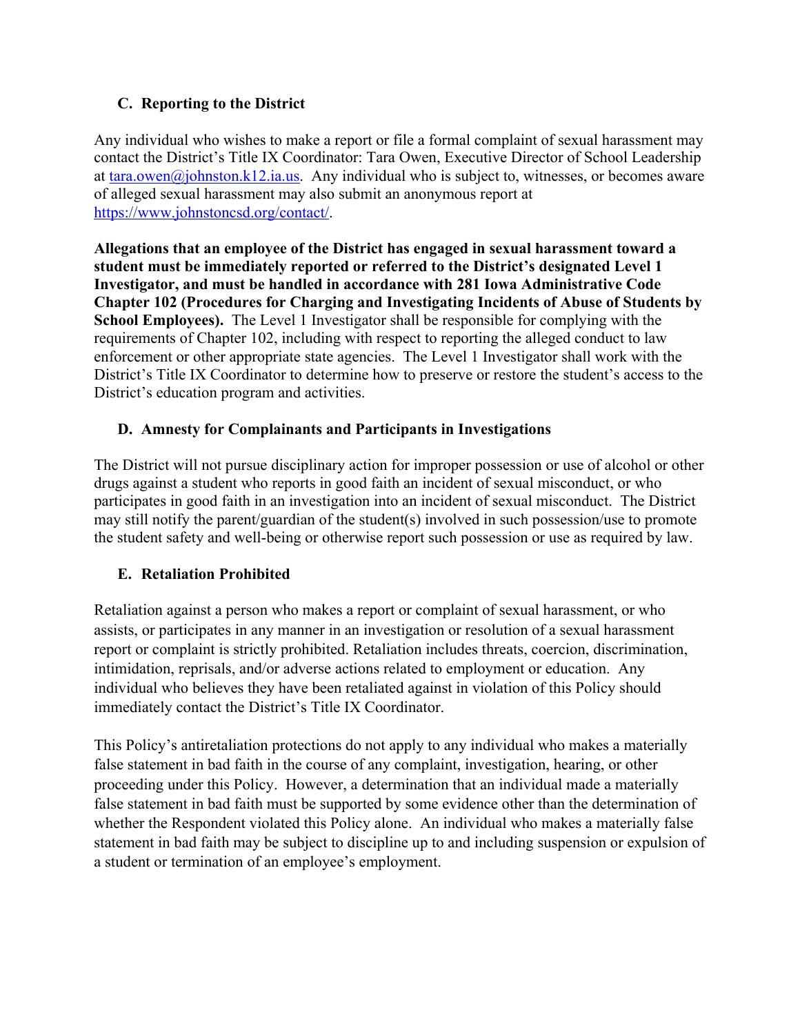## **C. Reporting to the District**

Any individual who wishes to make a report or file a formal complaint of sexual harassment may contact the District's Title IX Coordinator: Tara Owen, Executive Director of School Leadership at tara.owen@johnston.k12.ia.us. Any individual who is subject to, witnesses, or becomes aware of alleged sexual harassment may also submit an anonymous report at https://www.johnstoncsd.org/contact/.

**Allegations that an employee of the District has engaged in sexual harassment toward a student must be immediately reported or referred to the District's designated Level 1 Investigator, and must be handled in accordance with 281 Iowa Administrative Code Chapter 102 (Procedures for Charging and Investigating Incidents of Abuse of Students by School Employees).** The Level 1 Investigator shall be responsible for complying with the requirements of Chapter 102, including with respect to reporting the alleged conduct to law enforcement or other appropriate state agencies. The Level 1 Investigator shall work with the District's Title IX Coordinator to determine how to preserve or restore the student's access to the District's education program and activities.

## **D. Amnesty for Complainants and Participants in Investigations**

The District will not pursue disciplinary action for improper possession or use of alcohol or other drugs against a student who reports in good faith an incident of sexual misconduct, or who participates in good faith in an investigation into an incident of sexual misconduct. The District may still notify the parent/guardian of the student(s) involved in such possession/use to promote the student safety and well-being or otherwise report such possession or use as required by law.

# **E. Retaliation Prohibited**

Retaliation against a person who makes a report or complaint of sexual harassment, or who assists, or participates in any manner in an investigation or resolution of a sexual harassment report or complaint is strictly prohibited. Retaliation includes threats, coercion, discrimination, intimidation, reprisals, and/or adverse actions related to employment or education. Any individual who believes they have been retaliated against in violation of this Policy should immediately contact the District's Title IX Coordinator.

This Policy's antiretaliation protections do not apply to any individual who makes a materially false statement in bad faith in the course of any complaint, investigation, hearing, or other proceeding under this Policy. However, a determination that an individual made a materially false statement in bad faith must be supported by some evidence other than the determination of whether the Respondent violated this Policy alone. An individual who makes a materially false statement in bad faith may be subject to discipline up to and including suspension or expulsion of a student or termination of an employee's employment.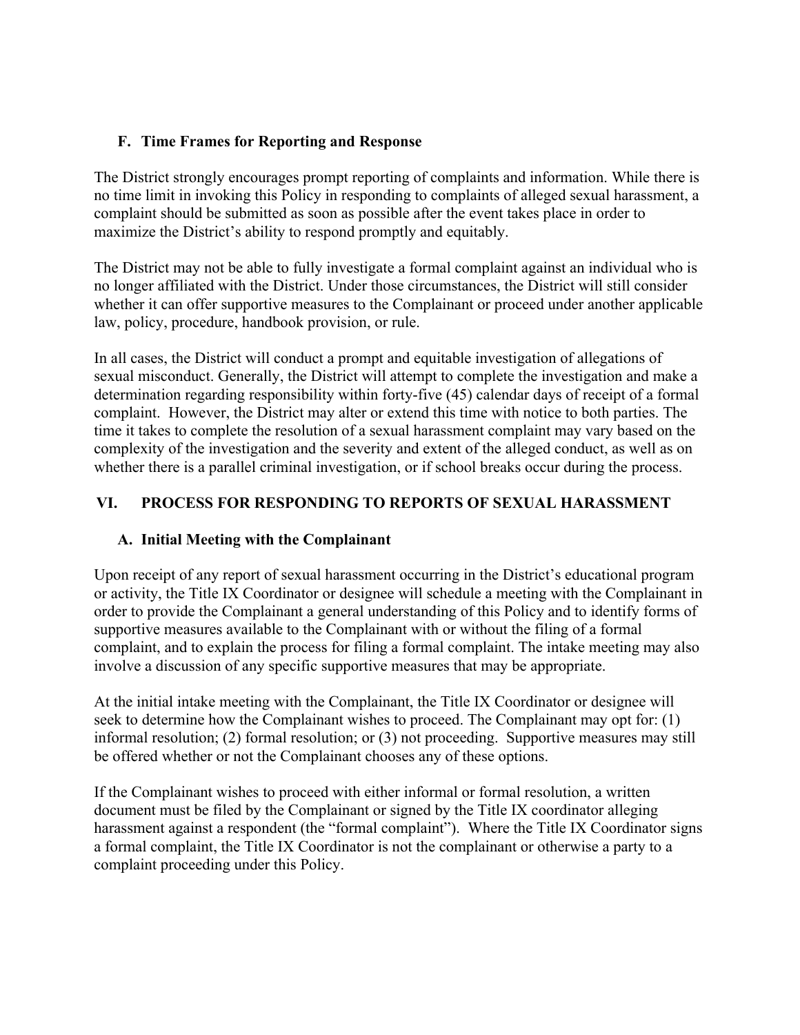## **F. Time Frames for Reporting and Response**

The District strongly encourages prompt reporting of complaints and information. While there is no time limit in invoking this Policy in responding to complaints of alleged sexual harassment, a complaint should be submitted as soon as possible after the event takes place in order to maximize the District's ability to respond promptly and equitably.

The District may not be able to fully investigate a formal complaint against an individual who is no longer affiliated with the District. Under those circumstances, the District will still consider whether it can offer supportive measures to the Complainant or proceed under another applicable law, policy, procedure, handbook provision, or rule.

In all cases, the District will conduct a prompt and equitable investigation of allegations of sexual misconduct. Generally, the District will attempt to complete the investigation and make a determination regarding responsibility within forty-five (45) calendar days of receipt of a formal complaint. However, the District may alter or extend this time with notice to both parties. The time it takes to complete the resolution of a sexual harassment complaint may vary based on the complexity of the investigation and the severity and extent of the alleged conduct, as well as on whether there is a parallel criminal investigation, or if school breaks occur during the process.

## **VI. PROCESS FOR RESPONDING TO REPORTS OF SEXUAL HARASSMENT**

#### **A. Initial Meeting with the Complainant**

Upon receipt of any report of sexual harassment occurring in the District's educational program or activity, the Title IX Coordinator or designee will schedule a meeting with the Complainant in order to provide the Complainant a general understanding of this Policy and to identify forms of supportive measures available to the Complainant with or without the filing of a formal complaint, and to explain the process for filing a formal complaint. The intake meeting may also involve a discussion of any specific supportive measures that may be appropriate.

At the initial intake meeting with the Complainant, the Title IX Coordinator or designee will seek to determine how the Complainant wishes to proceed. The Complainant may opt for: (1) informal resolution; (2) formal resolution; or (3) not proceeding. Supportive measures may still be offered whether or not the Complainant chooses any of these options.

If the Complainant wishes to proceed with either informal or formal resolution, a written document must be filed by the Complainant or signed by the Title IX coordinator alleging harassment against a respondent (the "formal complaint"). Where the Title IX Coordinator signs a formal complaint, the Title IX Coordinator is not the complainant or otherwise a party to a complaint proceeding under this Policy.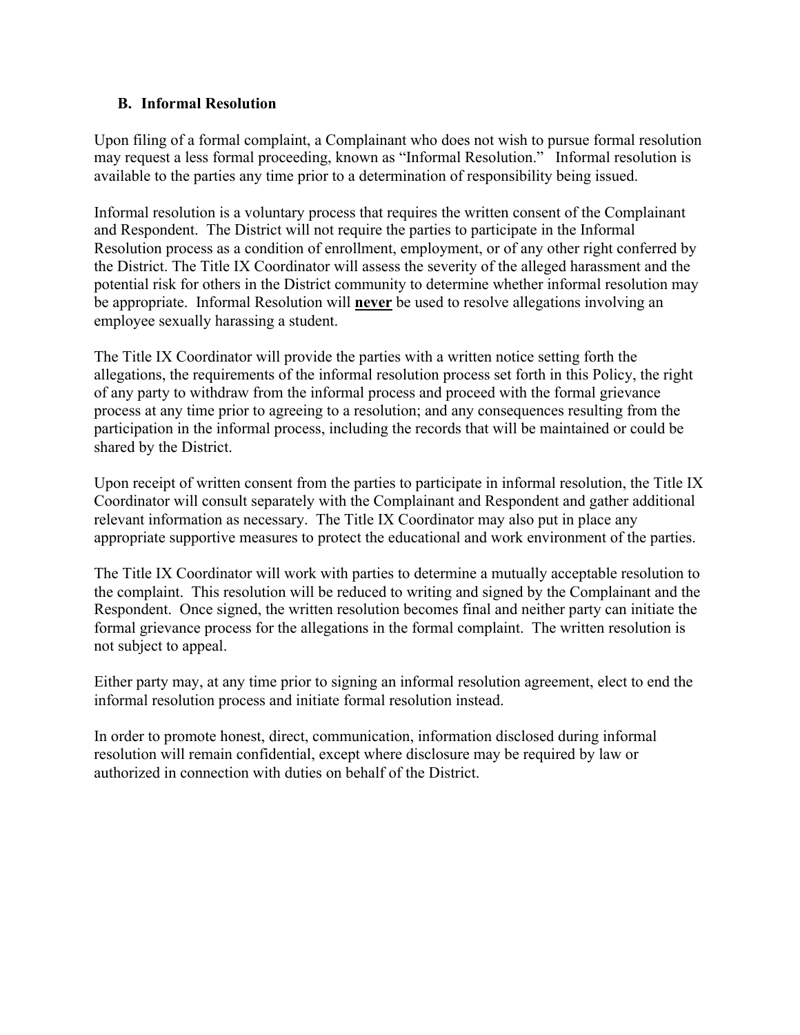#### **B. Informal Resolution**

Upon filing of a formal complaint, a Complainant who does not wish to pursue formal resolution may request a less formal proceeding, known as "Informal Resolution." Informal resolution is available to the parties any time prior to a determination of responsibility being issued.

Informal resolution is a voluntary process that requires the written consent of the Complainant and Respondent. The District will not require the parties to participate in the Informal Resolution process as a condition of enrollment, employment, or of any other right conferred by the District. The Title IX Coordinator will assess the severity of the alleged harassment and the potential risk for others in the District community to determine whether informal resolution may be appropriate. Informal Resolution will **never** be used to resolve allegations involving an employee sexually harassing a student.

The Title IX Coordinator will provide the parties with a written notice setting forth the allegations, the requirements of the informal resolution process set forth in this Policy, the right of any party to withdraw from the informal process and proceed with the formal grievance process at any time prior to agreeing to a resolution; and any consequences resulting from the participation in the informal process, including the records that will be maintained or could be shared by the District.

Upon receipt of written consent from the parties to participate in informal resolution, the Title IX Coordinator will consult separately with the Complainant and Respondent and gather additional relevant information as necessary. The Title IX Coordinator may also put in place any appropriate supportive measures to protect the educational and work environment of the parties.

The Title IX Coordinator will work with parties to determine a mutually acceptable resolution to the complaint. This resolution will be reduced to writing and signed by the Complainant and the Respondent. Once signed, the written resolution becomes final and neither party can initiate the formal grievance process for the allegations in the formal complaint. The written resolution is not subject to appeal.

Either party may, at any time prior to signing an informal resolution agreement, elect to end the informal resolution process and initiate formal resolution instead.

In order to promote honest, direct, communication, information disclosed during informal resolution will remain confidential, except where disclosure may be required by law or authorized in connection with duties on behalf of the District.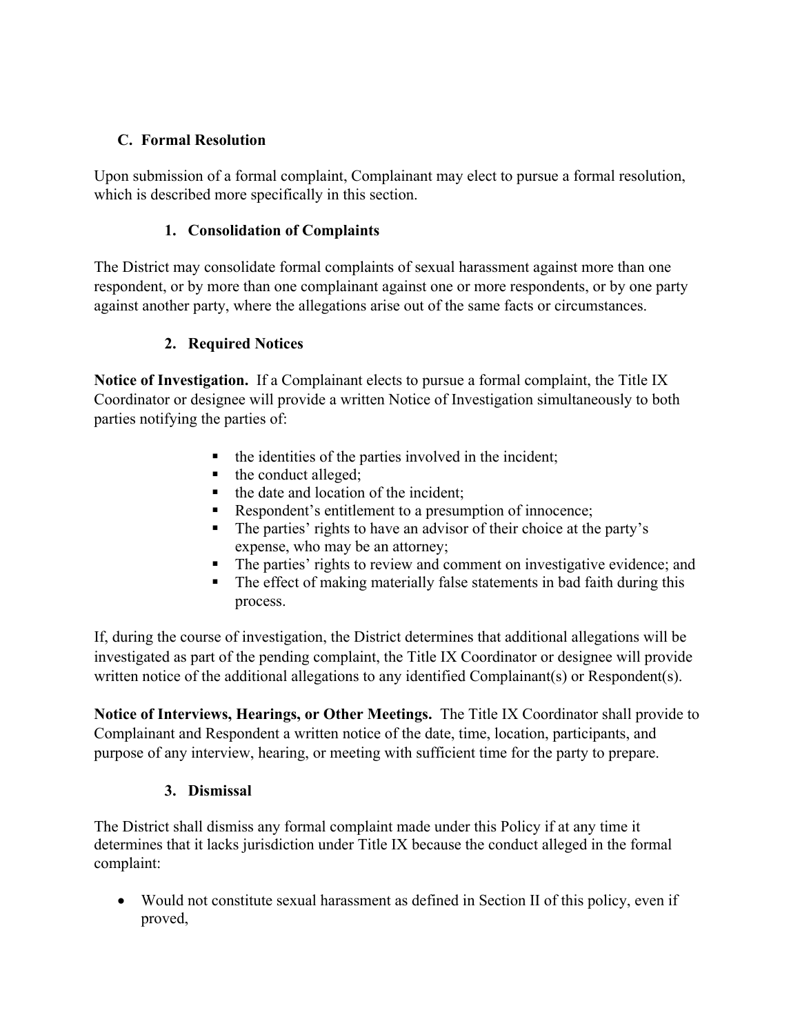# **C. Formal Resolution**

Upon submission of a formal complaint, Complainant may elect to pursue a formal resolution, which is described more specifically in this section.

## **1. Consolidation of Complaints**

The District may consolidate formal complaints of sexual harassment against more than one respondent, or by more than one complainant against one or more respondents, or by one party against another party, where the allegations arise out of the same facts or circumstances.

## **2. Required Notices**

**Notice of Investigation.** If a Complainant elects to pursue a formal complaint, the Title IX Coordinator or designee will provide a written Notice of Investigation simultaneously to both parties notifying the parties of:

- the identities of the parties involved in the incident;
- the conduct alleged;
- the date and location of the incident:
- Respondent's entitlement to a presumption of innocence;
- The parties' rights to have an advisor of their choice at the party's expense, who may be an attorney;
- The parties' rights to review and comment on investigative evidence; and
- The effect of making materially false statements in bad faith during this process.

If, during the course of investigation, the District determines that additional allegations will be investigated as part of the pending complaint, the Title IX Coordinator or designee will provide written notice of the additional allegations to any identified Complainant(s) or Respondent(s).

**Notice of Interviews, Hearings, or Other Meetings.** The Title IX Coordinator shall provide to Complainant and Respondent a written notice of the date, time, location, participants, and purpose of any interview, hearing, or meeting with sufficient time for the party to prepare.

#### **3. Dismissal**

The District shall dismiss any formal complaint made under this Policy if at any time it determines that it lacks jurisdiction under Title IX because the conduct alleged in the formal complaint:

• Would not constitute sexual harassment as defined in Section II of this policy, even if proved,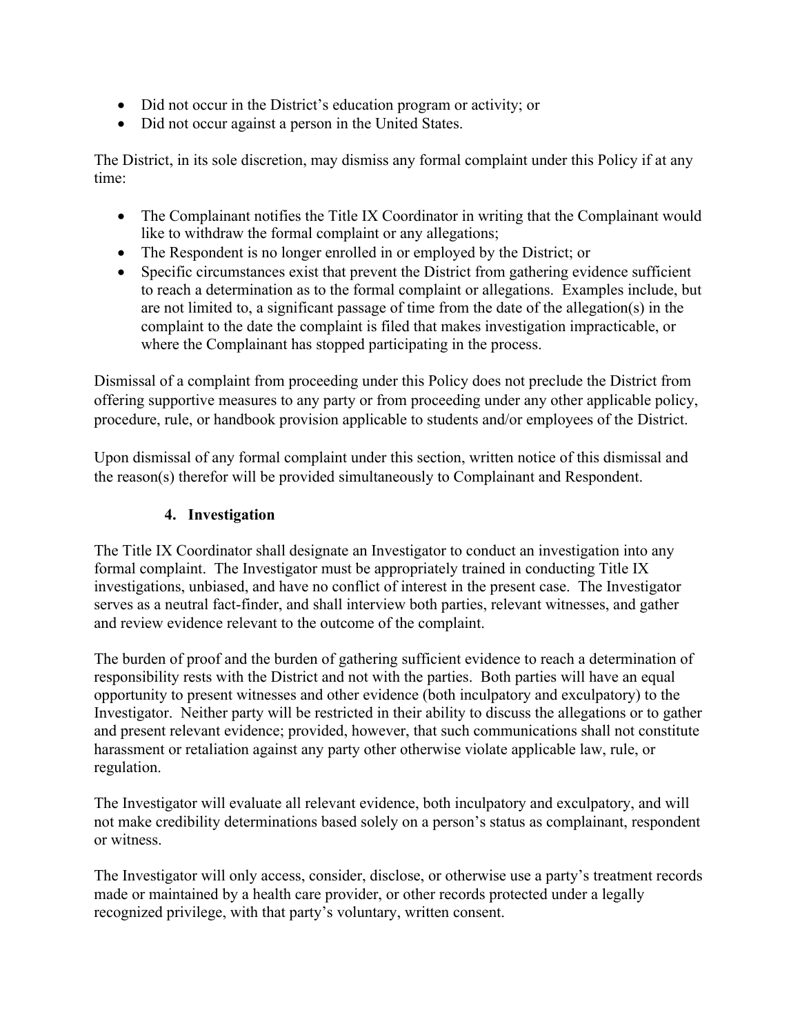- Did not occur in the District's education program or activity; or
- Did not occur against a person in the United States.

The District, in its sole discretion, may dismiss any formal complaint under this Policy if at any time:

- The Complainant notifies the Title IX Coordinator in writing that the Complainant would like to withdraw the formal complaint or any allegations;
- The Respondent is no longer enrolled in or employed by the District; or
- Specific circumstances exist that prevent the District from gathering evidence sufficient to reach a determination as to the formal complaint or allegations. Examples include, but are not limited to, a significant passage of time from the date of the allegation(s) in the complaint to the date the complaint is filed that makes investigation impracticable, or where the Complainant has stopped participating in the process.

Dismissal of a complaint from proceeding under this Policy does not preclude the District from offering supportive measures to any party or from proceeding under any other applicable policy, procedure, rule, or handbook provision applicable to students and/or employees of the District.

Upon dismissal of any formal complaint under this section, written notice of this dismissal and the reason(s) therefor will be provided simultaneously to Complainant and Respondent.

## **4. Investigation**

The Title IX Coordinator shall designate an Investigator to conduct an investigation into any formal complaint. The Investigator must be appropriately trained in conducting Title IX investigations, unbiased, and have no conflict of interest in the present case. The Investigator serves as a neutral fact-finder, and shall interview both parties, relevant witnesses, and gather and review evidence relevant to the outcome of the complaint.

The burden of proof and the burden of gathering sufficient evidence to reach a determination of responsibility rests with the District and not with the parties. Both parties will have an equal opportunity to present witnesses and other evidence (both inculpatory and exculpatory) to the Investigator. Neither party will be restricted in their ability to discuss the allegations or to gather and present relevant evidence; provided, however, that such communications shall not constitute harassment or retaliation against any party other otherwise violate applicable law, rule, or regulation.

The Investigator will evaluate all relevant evidence, both inculpatory and exculpatory, and will not make credibility determinations based solely on a person's status as complainant, respondent or witness.

The Investigator will only access, consider, disclose, or otherwise use a party's treatment records made or maintained by a health care provider, or other records protected under a legally recognized privilege, with that party's voluntary, written consent.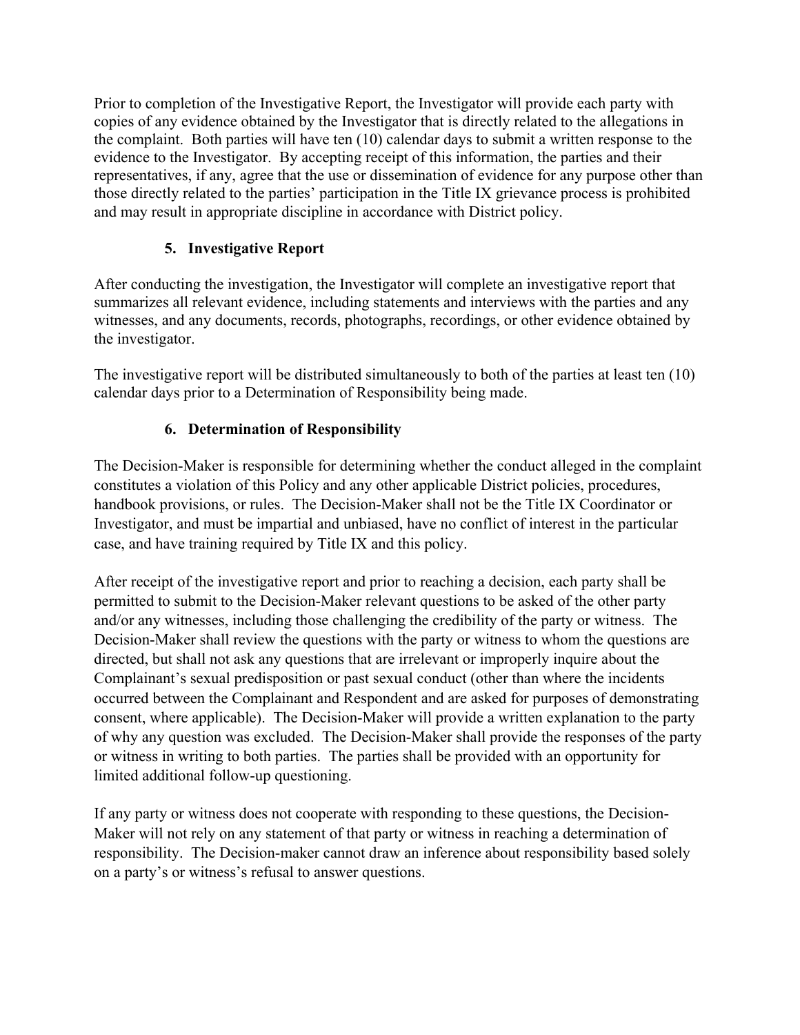Prior to completion of the Investigative Report, the Investigator will provide each party with copies of any evidence obtained by the Investigator that is directly related to the allegations in the complaint. Both parties will have ten (10) calendar days to submit a written response to the evidence to the Investigator. By accepting receipt of this information, the parties and their representatives, if any, agree that the use or dissemination of evidence for any purpose other than those directly related to the parties' participation in the Title IX grievance process is prohibited and may result in appropriate discipline in accordance with District policy.

# **5. Investigative Report**

After conducting the investigation, the Investigator will complete an investigative report that summarizes all relevant evidence, including statements and interviews with the parties and any witnesses, and any documents, records, photographs, recordings, or other evidence obtained by the investigator.

The investigative report will be distributed simultaneously to both of the parties at least ten (10) calendar days prior to a Determination of Responsibility being made.

# **6. Determination of Responsibility**

The Decision-Maker is responsible for determining whether the conduct alleged in the complaint constitutes a violation of this Policy and any other applicable District policies, procedures, handbook provisions, or rules. The Decision-Maker shall not be the Title IX Coordinator or Investigator, and must be impartial and unbiased, have no conflict of interest in the particular case, and have training required by Title IX and this policy.

After receipt of the investigative report and prior to reaching a decision, each party shall be permitted to submit to the Decision-Maker relevant questions to be asked of the other party and/or any witnesses, including those challenging the credibility of the party or witness. The Decision-Maker shall review the questions with the party or witness to whom the questions are directed, but shall not ask any questions that are irrelevant or improperly inquire about the Complainant's sexual predisposition or past sexual conduct (other than where the incidents occurred between the Complainant and Respondent and are asked for purposes of demonstrating consent, where applicable). The Decision-Maker will provide a written explanation to the party of why any question was excluded. The Decision-Maker shall provide the responses of the party or witness in writing to both parties. The parties shall be provided with an opportunity for limited additional follow-up questioning.

If any party or witness does not cooperate with responding to these questions, the Decision-Maker will not rely on any statement of that party or witness in reaching a determination of responsibility. The Decision-maker cannot draw an inference about responsibility based solely on a party's or witness's refusal to answer questions.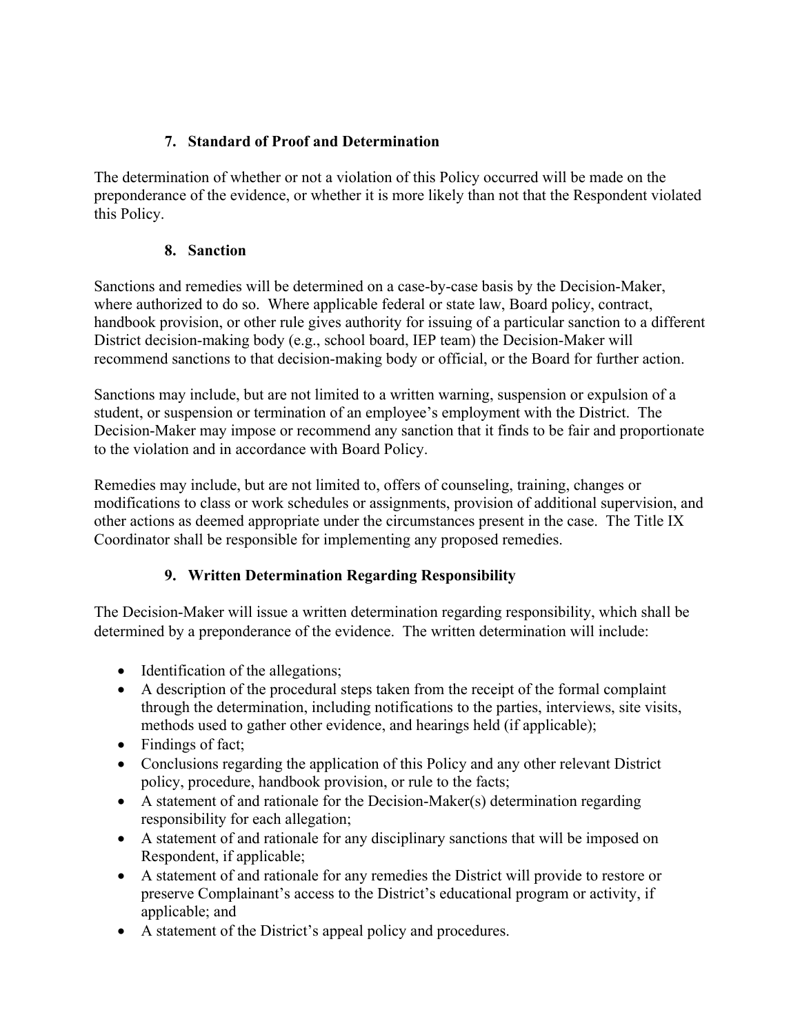# **7. Standard of Proof and Determination**

The determination of whether or not a violation of this Policy occurred will be made on the preponderance of the evidence, or whether it is more likely than not that the Respondent violated this Policy.

## **8. Sanction**

Sanctions and remedies will be determined on a case-by-case basis by the Decision-Maker, where authorized to do so. Where applicable federal or state law, Board policy, contract, handbook provision, or other rule gives authority for issuing of a particular sanction to a different District decision-making body (e.g., school board, IEP team) the Decision-Maker will recommend sanctions to that decision-making body or official, or the Board for further action.

Sanctions may include, but are not limited to a written warning, suspension or expulsion of a student, or suspension or termination of an employee's employment with the District. The Decision-Maker may impose or recommend any sanction that it finds to be fair and proportionate to the violation and in accordance with Board Policy.

Remedies may include, but are not limited to, offers of counseling, training, changes or modifications to class or work schedules or assignments, provision of additional supervision, and other actions as deemed appropriate under the circumstances present in the case. The Title IX Coordinator shall be responsible for implementing any proposed remedies.

# **9. Written Determination Regarding Responsibility**

The Decision-Maker will issue a written determination regarding responsibility, which shall be determined by a preponderance of the evidence. The written determination will include:

- Identification of the allegations;
- A description of the procedural steps taken from the receipt of the formal complaint through the determination, including notifications to the parties, interviews, site visits, methods used to gather other evidence, and hearings held (if applicable);
- Findings of fact;
- Conclusions regarding the application of this Policy and any other relevant District policy, procedure, handbook provision, or rule to the facts;
- A statement of and rationale for the Decision-Maker(s) determination regarding responsibility for each allegation;
- A statement of and rationale for any disciplinary sanctions that will be imposed on Respondent, if applicable;
- A statement of and rationale for any remedies the District will provide to restore or preserve Complainant's access to the District's educational program or activity, if applicable; and
- A statement of the District's appeal policy and procedures.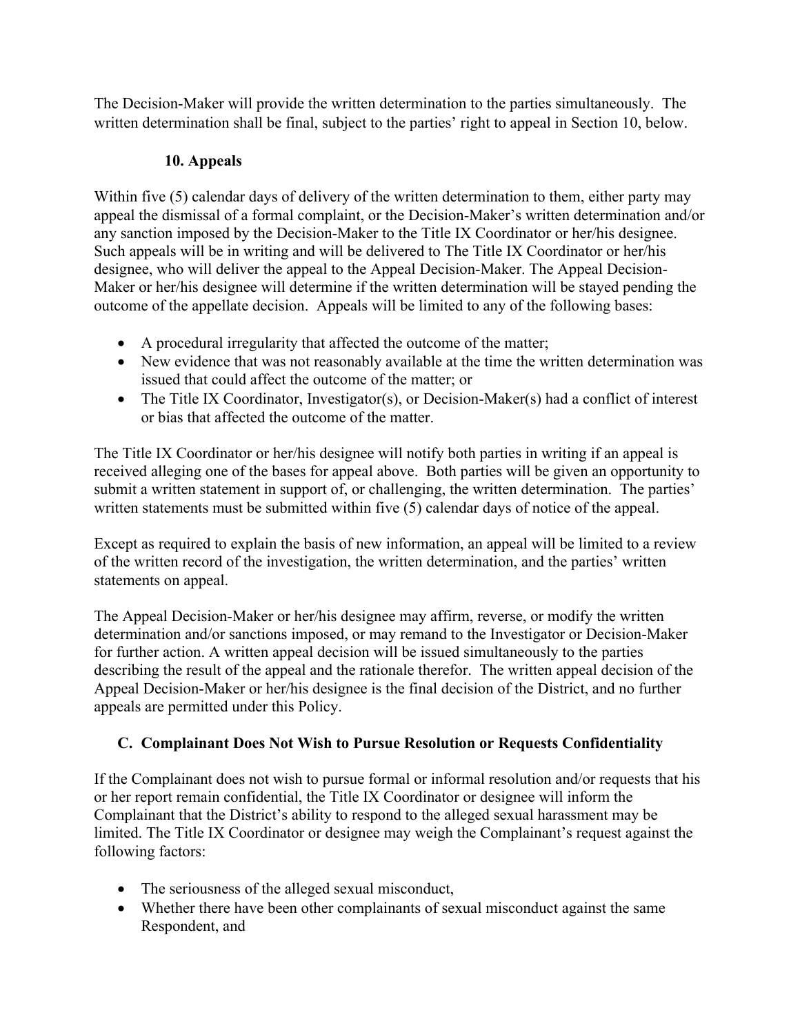The Decision-Maker will provide the written determination to the parties simultaneously. The written determination shall be final, subject to the parties' right to appeal in Section 10, below.

# **10. Appeals**

Within five (5) calendar days of delivery of the written determination to them, either party may appeal the dismissal of a formal complaint, or the Decision-Maker's written determination and/or any sanction imposed by the Decision-Maker to the Title IX Coordinator or her/his designee. Such appeals will be in writing and will be delivered to The Title IX Coordinator or her/his designee, who will deliver the appeal to the Appeal Decision-Maker. The Appeal Decision-Maker or her/his designee will determine if the written determination will be stayed pending the outcome of the appellate decision. Appeals will be limited to any of the following bases:

- A procedural irregularity that affected the outcome of the matter;
- New evidence that was not reasonably available at the time the written determination was issued that could affect the outcome of the matter; or
- The Title IX Coordinator, Investigator(s), or Decision-Maker(s) had a conflict of interest or bias that affected the outcome of the matter.

The Title IX Coordinator or her/his designee will notify both parties in writing if an appeal is received alleging one of the bases for appeal above. Both parties will be given an opportunity to submit a written statement in support of, or challenging, the written determination. The parties' written statements must be submitted within five (5) calendar days of notice of the appeal.

Except as required to explain the basis of new information, an appeal will be limited to a review of the written record of the investigation, the written determination, and the parties' written statements on appeal.

The Appeal Decision-Maker or her/his designee may affirm, reverse, or modify the written determination and/or sanctions imposed, or may remand to the Investigator or Decision-Maker for further action. A written appeal decision will be issued simultaneously to the parties describing the result of the appeal and the rationale therefor. The written appeal decision of the Appeal Decision-Maker or her/his designee is the final decision of the District, and no further appeals are permitted under this Policy.

# **C. Complainant Does Not Wish to Pursue Resolution or Requests Confidentiality**

If the Complainant does not wish to pursue formal or informal resolution and/or requests that his or her report remain confidential, the Title IX Coordinator or designee will inform the Complainant that the District's ability to respond to the alleged sexual harassment may be limited. The Title IX Coordinator or designee may weigh the Complainant's request against the following factors:

- The seriousness of the alleged sexual misconduct,
- Whether there have been other complainants of sexual misconduct against the same Respondent, and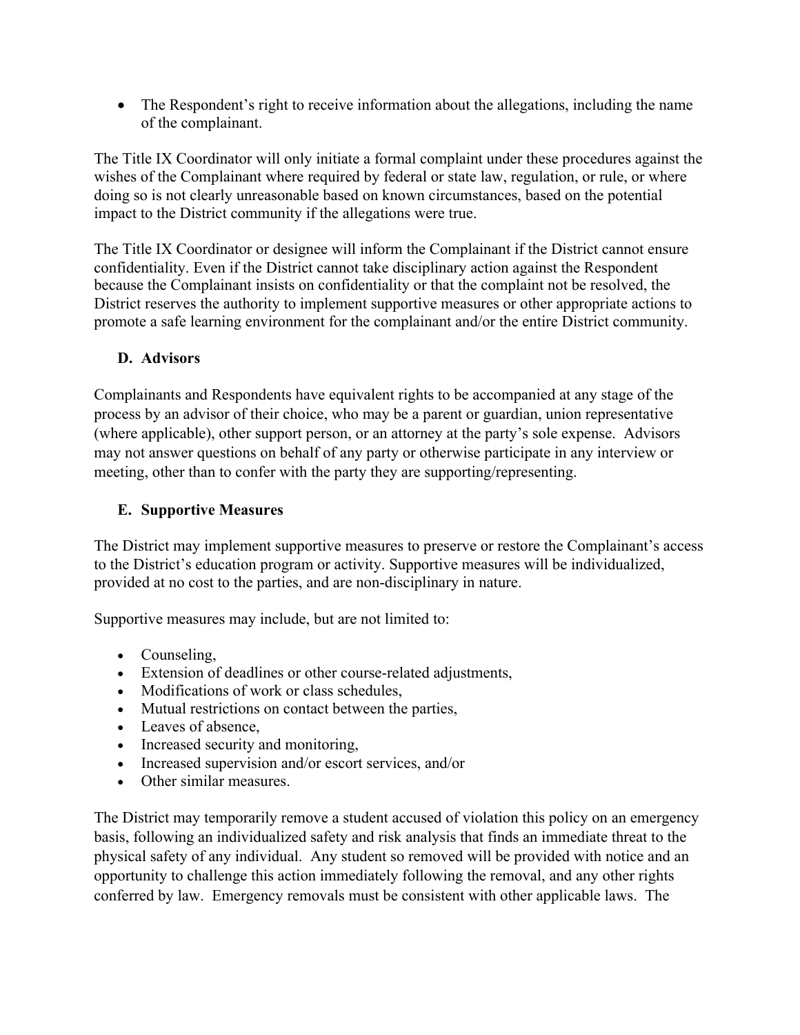• The Respondent's right to receive information about the allegations, including the name of the complainant.

The Title IX Coordinator will only initiate a formal complaint under these procedures against the wishes of the Complainant where required by federal or state law, regulation, or rule, or where doing so is not clearly unreasonable based on known circumstances, based on the potential impact to the District community if the allegations were true.

The Title IX Coordinator or designee will inform the Complainant if the District cannot ensure confidentiality. Even if the District cannot take disciplinary action against the Respondent because the Complainant insists on confidentiality or that the complaint not be resolved, the District reserves the authority to implement supportive measures or other appropriate actions to promote a safe learning environment for the complainant and/or the entire District community.

## **D. Advisors**

Complainants and Respondents have equivalent rights to be accompanied at any stage of the process by an advisor of their choice, who may be a parent or guardian, union representative (where applicable), other support person, or an attorney at the party's sole expense. Advisors may not answer questions on behalf of any party or otherwise participate in any interview or meeting, other than to confer with the party they are supporting/representing.

#### **E. Supportive Measures**

The District may implement supportive measures to preserve or restore the Complainant's access to the District's education program or activity. Supportive measures will be individualized, provided at no cost to the parties, and are non-disciplinary in nature.

Supportive measures may include, but are not limited to:

- Counseling,
- Extension of deadlines or other course-related adjustments,
- Modifications of work or class schedules,
- Mutual restrictions on contact between the parties,
- Leaves of absence,
- Increased security and monitoring,
- Increased supervision and/or escort services, and/or
- Other similar measures.

The District may temporarily remove a student accused of violation this policy on an emergency basis, following an individualized safety and risk analysis that finds an immediate threat to the physical safety of any individual. Any student so removed will be provided with notice and an opportunity to challenge this action immediately following the removal, and any other rights conferred by law. Emergency removals must be consistent with other applicable laws. The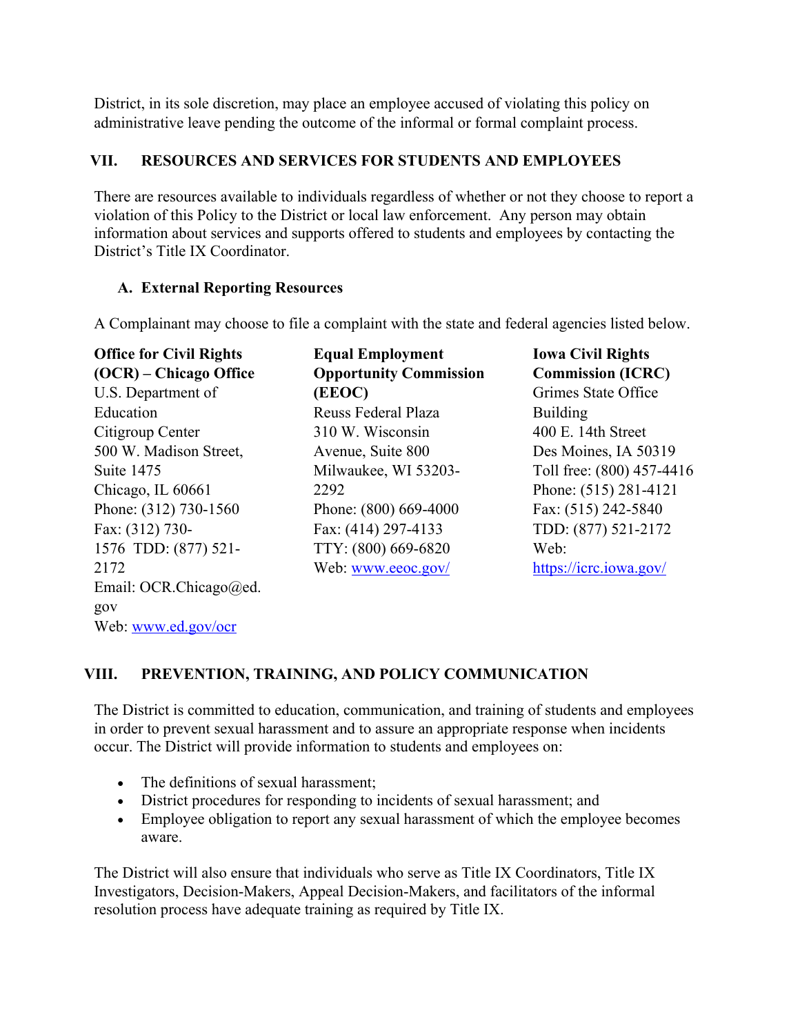District, in its sole discretion, may place an employee accused of violating this policy on administrative leave pending the outcome of the informal or formal complaint process.

#### **VII. RESOURCES AND SERVICES FOR STUDENTS AND EMPLOYEES**

There are resources available to individuals regardless of whether or not they choose to report a violation of this Policy to the District or local law enforcement. Any person may obtain information about services and supports offered to students and employees by contacting the District's Title IX Coordinator.

## **A. External Reporting Resources**

A Complainant may choose to file a complaint with the state and federal agencies listed below.

| <b>Office for Civil Rights</b> | <b>Equal Employment</b>       | <b>Iowa Civil Rights</b>  |  |
|--------------------------------|-------------------------------|---------------------------|--|
| (OCR) – Chicago Office         | <b>Opportunity Commission</b> | <b>Commission (ICRC)</b>  |  |
| U.S. Department of             | (EEOC)                        | Grimes State Office       |  |
| Education                      | Reuss Federal Plaza           | <b>Building</b>           |  |
| Citigroup Center               | 310 W. Wisconsin              | 400 E. 14th Street        |  |
| 500 W. Madison Street,         | Avenue, Suite 800             | Des Moines, IA 50319      |  |
| Suite 1475                     | Milwaukee, WI 53203-          | Toll free: (800) 457-4416 |  |
| Chicago, IL 60661              | 2292                          | Phone: (515) 281-4121     |  |
| Phone: (312) 730-1560          | Phone: (800) 669-4000         | Fax: (515) 242-5840       |  |
| Fax: (312) 730-                | Fax: (414) 297-4133           | TDD: (877) 521-2172       |  |
| 1576 TDD: (877) 521-           | TTY: (800) 669-6820           | Web:                      |  |
| 2172                           | Web: www.eeoc.gov/            | https://icrc.iowa.gov/    |  |
| Email: OCR.Chicago@ed.         |                               |                           |  |
| gov                            |                               |                           |  |
| Web: www.ed.gov/ocr            |                               |                           |  |

# **VIII. PREVENTION, TRAINING, AND POLICY COMMUNICATION**

The District is committed to education, communication, and training of students and employees in order to prevent sexual harassment and to assure an appropriate response when incidents occur. The District will provide information to students and employees on:

- The definitions of sexual harassment:
- District procedures for responding to incidents of sexual harassment; and
- Employee obligation to report any sexual harassment of which the employee becomes aware.

The District will also ensure that individuals who serve as Title IX Coordinators, Title IX Investigators, Decision-Makers, Appeal Decision-Makers, and facilitators of the informal resolution process have adequate training as required by Title IX.